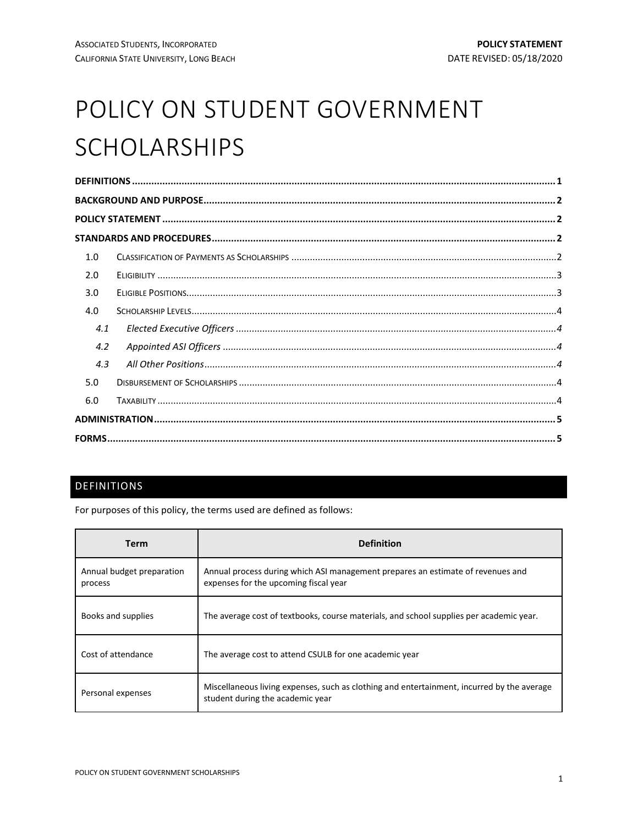# POLICY ON STUDENT GOVERNMENT SCHOLARSHIPS

| 1.0 |  |  |  |  |  |
|-----|--|--|--|--|--|
| 2.0 |  |  |  |  |  |
| 3.0 |  |  |  |  |  |
| 4.0 |  |  |  |  |  |
| 4.1 |  |  |  |  |  |
| 4.2 |  |  |  |  |  |
| 4.3 |  |  |  |  |  |
| 5.0 |  |  |  |  |  |
| 6.0 |  |  |  |  |  |
|     |  |  |  |  |  |
|     |  |  |  |  |  |

## <span id="page-0-0"></span>DEFINITIONS

For purposes of this policy, the terms used are defined as follows:

| Term                                 | <b>Definition</b>                                                                                                              |  |  |  |
|--------------------------------------|--------------------------------------------------------------------------------------------------------------------------------|--|--|--|
| Annual budget preparation<br>process | Annual process during which ASI management prepares an estimate of revenues and<br>expenses for the upcoming fiscal year       |  |  |  |
| Books and supplies                   | The average cost of textbooks, course materials, and school supplies per academic year.                                        |  |  |  |
| Cost of attendance                   | The average cost to attend CSULB for one academic year                                                                         |  |  |  |
| Personal expenses                    | Miscellaneous living expenses, such as clothing and entertainment, incurred by the average<br>student during the academic year |  |  |  |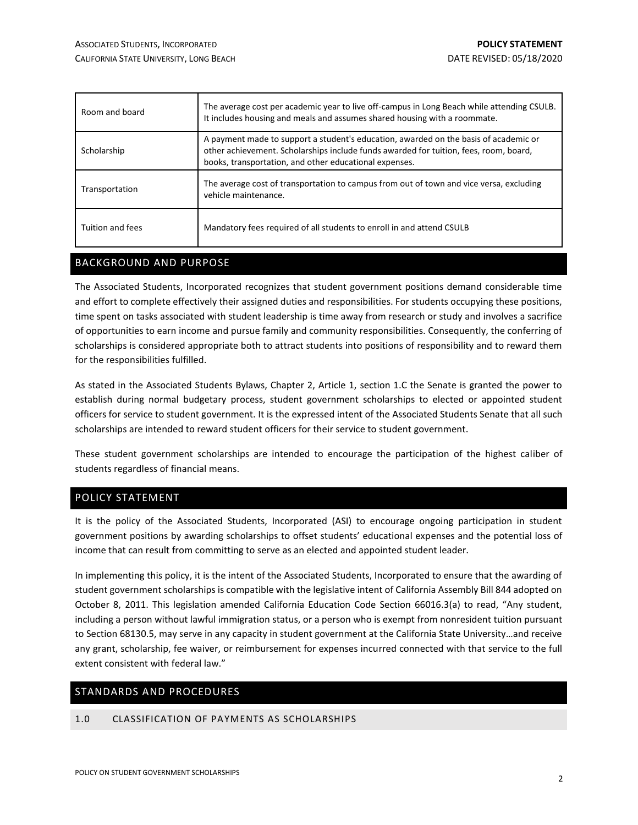| Room and board   | The average cost per academic year to live off-campus in Long Beach while attending CSULB.<br>It includes housing and meals and assumes shared housing with a roommate.                                                                 |  |  |  |
|------------------|-----------------------------------------------------------------------------------------------------------------------------------------------------------------------------------------------------------------------------------------|--|--|--|
| Scholarship      | A payment made to support a student's education, awarded on the basis of academic or<br>other achievement. Scholarships include funds awarded for tuition, fees, room, board,<br>books, transportation, and other educational expenses. |  |  |  |
| Transportation   | The average cost of transportation to campus from out of town and vice versa, excluding<br>vehicle maintenance.                                                                                                                         |  |  |  |
| Tuition and fees | Mandatory fees required of all students to enroll in and attend CSULB                                                                                                                                                                   |  |  |  |

## <span id="page-1-0"></span>BACKGROUND AND PURPOSE

The Associated Students, Incorporated recognizes that student government positions demand considerable time and effort to complete effectively their assigned duties and responsibilities. For students occupying these positions, time spent on tasks associated with student leadership is time away from research or study and involves a sacrifice of opportunities to earn income and pursue family and community responsibilities. Consequently, the conferring of scholarships is considered appropriate both to attract students into positions of responsibility and to reward them for the responsibilities fulfilled.

As stated in the Associated Students Bylaws, Chapter 2, Article 1, section 1.C the Senate is granted the power to establish during normal budgetary process, student government scholarships to elected or appointed student officers for service to student government. It is the expressed intent of the Associated Students Senate that all such scholarships are intended to reward student officers for their service to student government.

These student government scholarships are intended to encourage the participation of the highest caliber of students regardless of financial means.

## <span id="page-1-1"></span>POLICY STATEMENT

It is the policy of the Associated Students, Incorporated (ASI) to encourage ongoing participation in student government positions by awarding scholarships to offset students' educational expenses and the potential loss of income that can result from committing to serve as an elected and appointed student leader.

In implementing this policy, it is the intent of the Associated Students, Incorporated to ensure that the awarding of student government scholarships is compatible with the legislative intent of California Assembly Bill 844 adopted on October 8, 2011. This legislation amended California Education Code Section 66016.3(a) to read, "Any student, including a person without lawful immigration status, or a person who is exempt from nonresident tuition pursuant to Section 68130.5, may serve in any capacity in student government at the California State University…and receive any grant, scholarship, fee waiver, or reimbursement for expenses incurred connected with that service to the full extent consistent with federal law."

#### <span id="page-1-2"></span>STANDARDS AND PROCEDURES

#### <span id="page-1-3"></span>1.0 CLASSIFICATION OF PAYMENTS AS SCHOLARSHIPS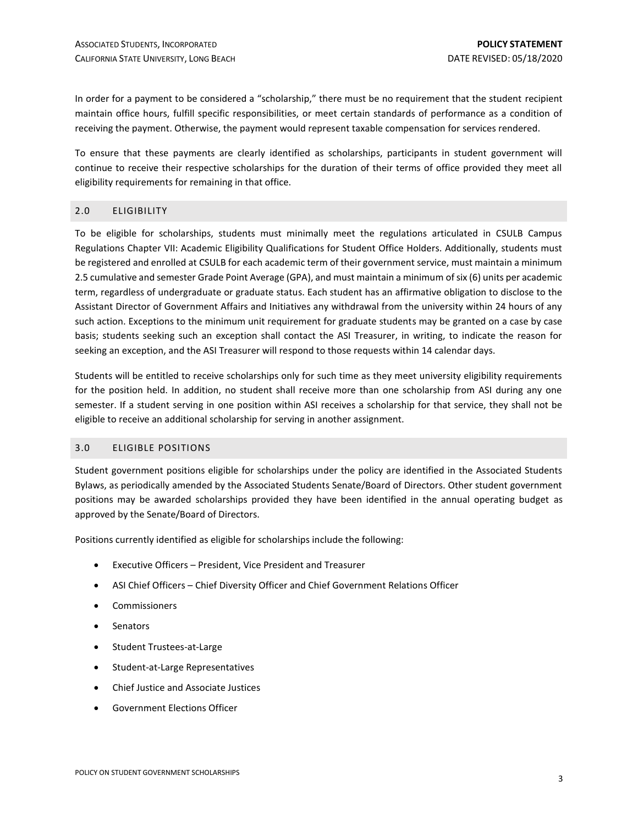In order for a payment to be considered a "scholarship," there must be no requirement that the student recipient maintain office hours, fulfill specific responsibilities, or meet certain standards of performance as a condition of receiving the payment. Otherwise, the payment would represent taxable compensation for services rendered.

To ensure that these payments are clearly identified as scholarships, participants in student government will continue to receive their respective scholarships for the duration of their terms of office provided they meet all eligibility requirements for remaining in that office.

#### <span id="page-2-0"></span>2.0 ELIGIBILITY

To be eligible for scholarships, students must minimally meet the regulations articulated in CSULB Campus Regulations Chapter VII: Academic Eligibility Qualifications for Student Office Holders. Additionally, students must be registered and enrolled at CSULB for each academic term of their government service, must maintain a minimum 2.5 cumulative and semester Grade Point Average (GPA), and must maintain a minimum of six (6) units per academic term, regardless of undergraduate or graduate status. Each student has an affirmative obligation to disclose to the Assistant Director of Government Affairs and Initiatives any withdrawal from the university within 24 hours of any such action. Exceptions to the minimum unit requirement for graduate students may be granted on a case by case basis; students seeking such an exception shall contact the ASI Treasurer, in writing, to indicate the reason for seeking an exception, and the ASI Treasurer will respond to those requests within 14 calendar days.

Students will be entitled to receive scholarships only for such time as they meet university eligibility requirements for the position held. In addition, no student shall receive more than one scholarship from ASI during any one semester. If a student serving in one position within ASI receives a scholarship for that service, they shall not be eligible to receive an additional scholarship for serving in another assignment.

#### <span id="page-2-1"></span>3.0 ELIGIBLE POSITIONS

Student government positions eligible for scholarships under the policy are identified in the Associated Students Bylaws, as periodically amended by the Associated Students Senate/Board of Directors. Other student government positions may be awarded scholarships provided they have been identified in the annual operating budget as approved by the Senate/Board of Directors.

Positions currently identified as eligible for scholarships include the following:

- Executive Officers President, Vice President and Treasurer
- ASI Chief Officers Chief Diversity Officer and Chief Government Relations Officer
- Commissioners
- Senators
- Student Trustees-at-Large
- Student-at-Large Representatives
- Chief Justice and Associate Justices
- Government Elections Officer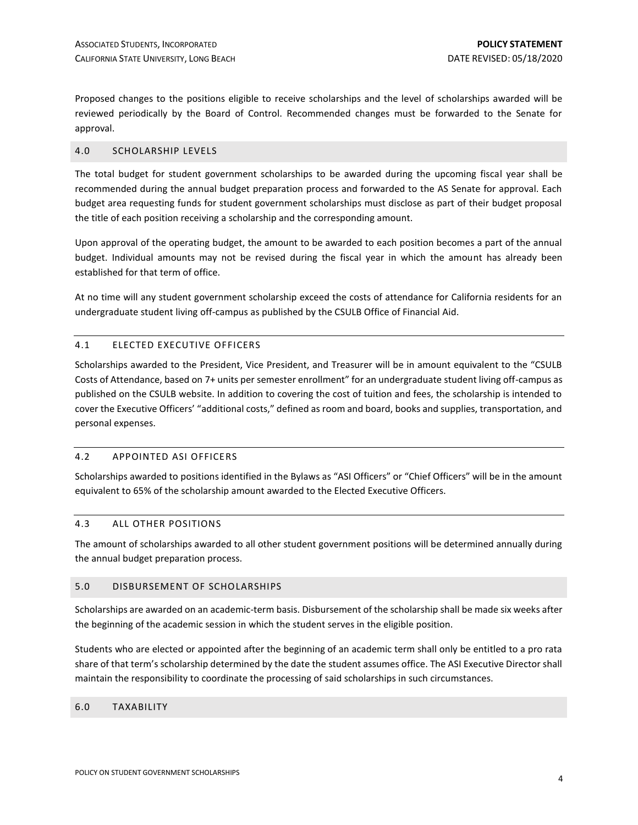Proposed changes to the positions eligible to receive scholarships and the level of scholarships awarded will be reviewed periodically by the Board of Control. Recommended changes must be forwarded to the Senate for approval.

#### <span id="page-3-0"></span>4.0 SCHOLARSHIP LEVELS

The total budget for student government scholarships to be awarded during the upcoming fiscal year shall be recommended during the annual budget preparation process and forwarded to the AS Senate for approval. Each budget area requesting funds for student government scholarships must disclose as part of their budget proposal the title of each position receiving a scholarship and the corresponding amount.

Upon approval of the operating budget, the amount to be awarded to each position becomes a part of the annual budget. Individual amounts may not be revised during the fiscal year in which the amount has already been established for that term of office.

At no time will any student government scholarship exceed the costs of attendance for California residents for an undergraduate student living off-campus as published by the CSULB Office of Financial Aid.

#### <span id="page-3-1"></span>4.1 ELECTED EXECUTIVE OFFICERS

Scholarships awarded to the President, Vice President, and Treasurer will be in amount equivalent to the "CSULB Costs of Attendance, based on 7+ units per semester enrollment" for an undergraduate student living off-campus as published on the CSULB website. In addition to covering the cost of tuition and fees, the scholarship is intended to cover the Executive Officers' "additional costs," defined as room and board, books and supplies, transportation, and personal expenses.

#### <span id="page-3-2"></span>4.2 APPOINTED ASI OFFICERS

Scholarships awarded to positions identified in the Bylaws as "ASI Officers" or "Chief Officers" will be in the amount equivalent to 65% of the scholarship amount awarded to the Elected Executive Officers.

#### <span id="page-3-3"></span>4.3 ALL OTHER POSITIONS

The amount of scholarships awarded to all other student government positions will be determined annually during the annual budget preparation process.

#### <span id="page-3-4"></span>5.0 DISBURSEMENT OF SCHOLARSHIPS

Scholarships are awarded on an academic-term basis. Disbursement of the scholarship shall be made six weeks after the beginning of the academic session in which the student serves in the eligible position.

Students who are elected or appointed after the beginning of an academic term shall only be entitled to a pro rata share of that term's scholarship determined by the date the student assumes office. The ASI Executive Director shall maintain the responsibility to coordinate the processing of said scholarships in such circumstances.

#### <span id="page-3-5"></span>6.0 TAXABILITY